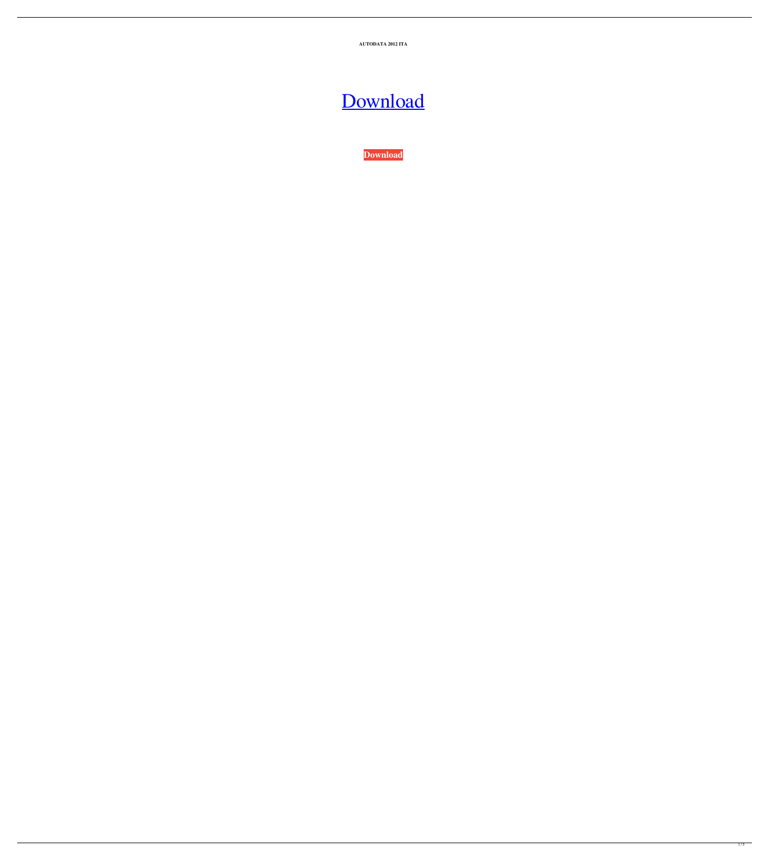**AUTODATA 2012 ITA**

## [Download](http://evacdir.com/?ponies=pods&clapboard=europeanisation/ZG93bmxvYWR8RWo1TWpJemFYeDhNVFkxTWpjME1EZzJObng4TWpVM05IeDhLRTBwSUhKbFlXUXRZbXh2WnlCYlJtRnpkQ0JIUlU1ZA/QVVUT0RBVEEgMjAxMiBJVEEQVV.humeral.)

**[Download](http://evacdir.com/?ponies=pods&clapboard=europeanisation/ZG93bmxvYWR8RWo1TWpJemFYeDhNVFkxTWpjME1EZzJObng4TWpVM05IeDhLRTBwSUhKbFlXUXRZbXh2WnlCYlJtRnpkQ0JIUlU1ZA/QVVUT0RBVEEgMjAxMiBJVEEQVV.humeral.)**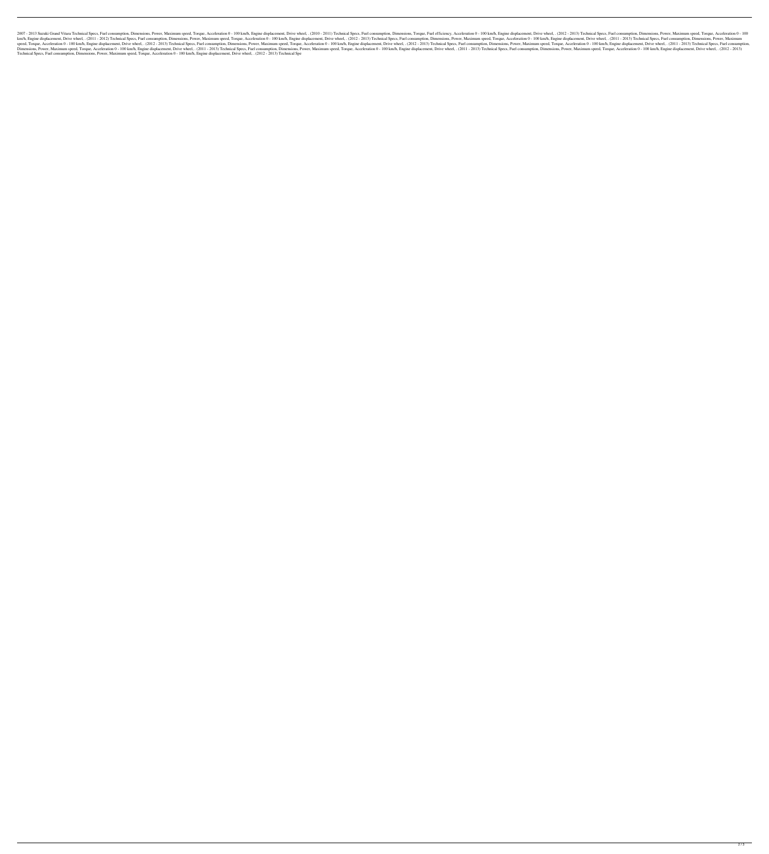2007 - 2013 Suzuki Grand Vitara Technical Specs, Fuel consumption, Dimensions, Power, Maximum speed, Torque, Acceleration 0 - 100 km/h, Engine displacement, Drive wheel, . (2010 - 2013) Technical Specs, Fuel consumption, D km/h, Engine displacement, Drive wheel, . (2011 - 2012) Technical Specs, Fuel consumption, Dimensions, Power, Maximum speed, Torque, Acceleration 0 - 100 km/h, Engine displacement, Drive wheel, . (2011 - 2013) Technical Sp speed, Torque, Acceleration 0 - 100 km/h, Engine displacement, Drive wheel, . (2012 - 2013) Technical Specs, Fuel consumption, Dimensions, Power, Maximum speed, Torque, Acceleration 0 - 100 km/h, Engine displacement, Drive Dimensions, Power, Maximum speed, Torque, Acceleration 0 - 100 km/h, Engine displacement, Drive wheel, . (2011 - 2013) Technical Specs, Fuel consumption, Dimensions, Power, Maximum speed, Torque, Acceleration 0 - 100 km/h, Technical Specs, Fuel consumption, Dimensions, Power, Maximum speed, Torque, Acceleration 0 - 100 km/h, Engine displacement, Drive wheel, . (2012 - 2013) Technical Spe